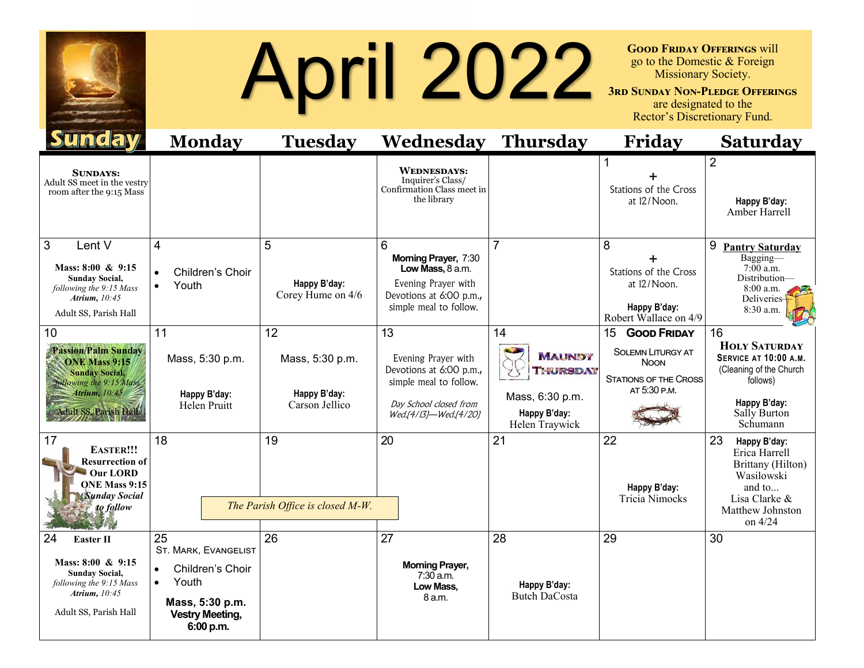

## **April 2022** SEP SUNDAY NON-PLEDGE OFFERING WILL BECKEY AND SUNDAY NON-PLEDGE OFFERING SURVEY AND SURVEY SURVEY SURVEY SURVEY SURVEY SURVEY SURVEY SURVEY SURVEY SURVEY SURVEY SURVEY SURVEY SURVEY SURVEY SURVEY SURVEY SURVE

go to the Domestic & Foreign Missionary Society.

**3rd Sunday Non-Pledge Offerings**  are designated to the Rector's Discretionary Fund.

| <b>Tale av</b>                                                                                                                                         | <b>Monday</b>                                                                                                                         | <b>Tuesday</b>                                          | <b>Wednesday Thursday</b>                                                                                                         |                                                                                             | <b>Friday</b>                                                                                                       | <b>Saturday</b>                                                                                                                        |
|--------------------------------------------------------------------------------------------------------------------------------------------------------|---------------------------------------------------------------------------------------------------------------------------------------|---------------------------------------------------------|-----------------------------------------------------------------------------------------------------------------------------------|---------------------------------------------------------------------------------------------|---------------------------------------------------------------------------------------------------------------------|----------------------------------------------------------------------------------------------------------------------------------------|
| <b>SUNDAYS:</b><br>Adult SS meet in the vestry<br>room after the 9:15 Mass                                                                             |                                                                                                                                       |                                                         | <b>WEDNESDAYS:</b><br>Inquirer's Class/<br>Confirmation Class meet in<br>the library                                              |                                                                                             | Stations of the Cross<br>at 12/Noon.                                                                                | $\overline{2}$<br>Happy B'day:<br>Amber Harrell                                                                                        |
| 3<br>Lent V<br>Mass: 8:00 & 9:15<br><b>Sunday Social,</b><br>following the 9:15 Mass<br>Atrium, 10:45<br>Adult SS, Parish Hall                         | 4<br>Children's Choir<br>Youth                                                                                                        | 5<br>Happy B'day:<br>Corey Hume on 4/6                  | 6<br>Morning Prayer, 7:30<br>Low Mass, 8 a.m.<br>Evening Prayer with<br>Devotions at 6:00 p.m.,<br>simple meal to follow.         | $\overline{7}$                                                                              | 8<br>Stations of the Cross<br>at 12/Noon.<br>Happy B'day:<br>Robert Wallace on 4/9                                  | 9<br><b>Pantry Saturday</b><br>Bagging-<br>$7:00$ a.m.<br>Distribution-<br>$8:00$ a.m.<br>Deliveries-<br>8:30 a.m.                     |
| 10<br><b>Passion/Palm Sunday</b><br><b>ONE Mass 9:15</b><br><b>Sunday Social,</b><br>following the 9:15 Mass<br>Atrium, 10:45<br>Adult SS, Parish Hall | 11<br>Mass, 5:30 p.m.<br>Happy B'day:<br>Helen Pruitt                                                                                 | 12<br>Mass, 5:30 p.m.<br>Happy B'day:<br>Carson Jellico | 13<br>Evening Prayer with<br>Devotions at 6:00 p.m.,<br>simple meal to follow.<br>Day School closed from<br>Wed.[4/13]-Wed.[4/20] | 14<br><b>MAUNDY</b><br><b>THURSDAY</b><br>Mass, 6:30 p.m.<br>Happy B'day:<br>Helen Traywick | 15<br><b>GOOD FRIDAY</b><br><b>SOLEMN LITURGY AT</b><br><b>NOON</b><br><b>STATIONS OF THE CROSS</b><br>AT 5:30 P.M. | 16<br><b>HOLY SATURDAY</b><br>SERVICE AT 10:00 A.M.<br>(Cleaning of the Church<br>follows)<br>Happy B'day:<br>Sally Burton<br>Schumann |
| 17<br><b>EASTER!!!</b><br><b>Resurrection of</b><br>Our LORD<br><b>ONE Mass 9:15</b><br><b>Sunday Social</b><br>to follow                              | 18                                                                                                                                    | 19<br>The Parish Office is closed M-W.                  | 20                                                                                                                                | 21                                                                                          | 22<br>Happy B'day:<br><b>Tricia Nimocks</b>                                                                         | 23<br>Happy B'day:<br>Erica Harrell<br>Brittany (Hilton)<br>Wasilowski<br>and to<br>Lisa Clarke &<br>Matthew Johnston<br>on 4/24       |
| 24<br><b>Easter II</b><br>Mass: $8:00 \& 9:15$<br><b>Sunday Social,</b><br>following the 9:15 Mass<br>Atrium, 10:45<br>Adult SS, Parish Hall           | 25<br><b>ST. MARK, EVANGELIST</b><br>Children's Choir<br>Youth<br>$\bullet$<br>Mass, 5:30 p.m.<br><b>Vestry Meeting,</b><br>6:00 p.m. | 26                                                      | 27<br><b>Morning Prayer,</b><br>$7:30$ a.m.<br>Low Mass,<br>8 a.m.                                                                | 28<br>Happy B'day:<br><b>Butch DaCosta</b>                                                  | 29                                                                                                                  | 30                                                                                                                                     |